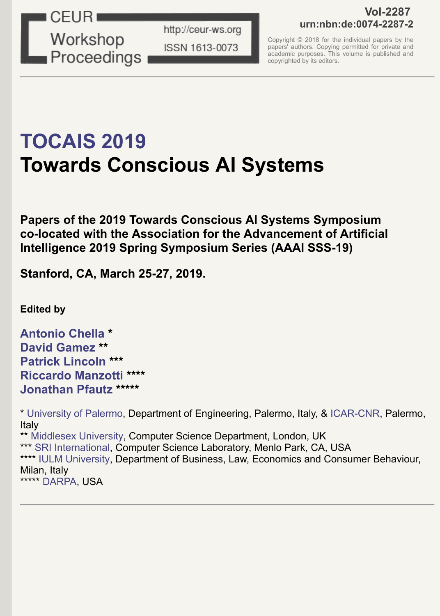

http://ceur-ws.org ISSN 1613-0073

### **Vol-2287 urn:nbn:de:0074-2287-2**

Copyright © 2018 for the individual papers by the papers' authors. Copying permitted for private and academic purposes. This volume is published and copyrighted by its editors.

# **[TOCAIS 2019](http://diid.unipa.it/roboticslab/consciousai/) Towards Conscious AI Systems**

**Papers of the 2019 Towards Conscious AI Systems Symposium co-located with the Association for the Advancement of Artificial Intelligence 2019 Spring Symposium Series (AAAI SSS-19)** 

**Stanford, CA, March 25-27, 2019.**

**Edited by**

**[Antonio Chella](http://www.unipa.it/persone/docenti/c/antonio.chella) \* [David Gamez](http://www.davidgamez.eu/) \*\* [Patrick Lincoln](http://www.csl.sri.com/people/lincoln/) \*\*\* [Riccardo Manzotti](http://www.consciousness.it/) \*\*\*\* [Jonathan Pfautz](http://www.darpa.mil/staff/dr-jonathan-pfautz) \*\*\*\*\***

\* [University of Palermo,](http://www.unipa.it/) Department of Engineering, Palermo, Italy, & [ICAR-CNR,](https://www.icar.cnr.it/) Palermo, Italy \*\* [Middlesex University,](http://mdx.ac.uk/) Computer Science Department, London, UK \*\*\* [SRI International](http://www.sri.com/), Computer Science Laboratory, Menlo Park, CA, USA \*\*\*\* [IULM University](http://www.iulm.it/), Department of Business, Law, Economics and Consumer Behaviour, Milan, Italy \*\*\*\*\* [DARPA,](http://www.darpa.mil/) USA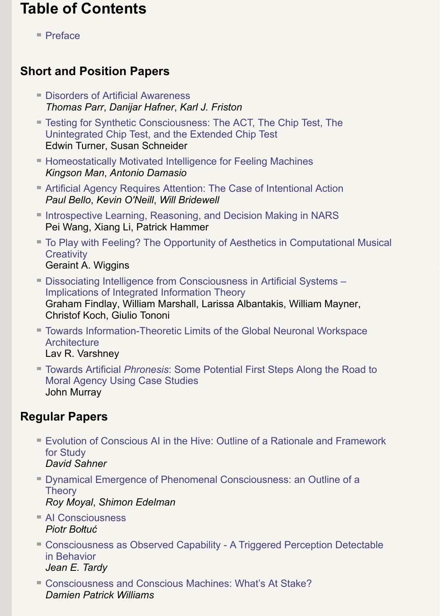# **Table of Contents**

■ [Preface](http://ceur-ws.org/Vol-2287/preface.pdf)

## **Short and Position Papers**

- **[Disorders of Artificial Awareness](http://ceur-ws.org/Vol-2287/short1.pdf)** *Thomas Parr*, *Danijar Hafner*, *Karl J. Friston*
- **[Testing for Synthetic Consciousness: The ACT, The Chip Test, The](http://ceur-ws.org/Vol-2287/short2.pdf)** Unintegrated Chip Test, and the Extended Chip Test Edwin Turner, Susan Schneider
- **[Homeostatically Motivated Intelligence for Feeling Machines](http://ceur-ws.org/Vol-2287/short3.pdf)** *Kingson Man*, *Antonio Damasio*
- [Artificial Agency Requires Attention: The Case of Intentional Action](http://ceur-ws.org/Vol-2287/short4.pdf) *Paul Bello*, *Kevin O'Neill*, *Will Bridewell*
- **[Introspective Learning, Reasoning, and Decision Making in NARS](http://ceur-ws.org/Vol-2287/short5.pdf)** Pei Wang, Xiang Li, Patrick Hammer
- [To Play with Feeling? The Opportunity of Aesthetics in Computational Musical](http://ceur-ws.org/Vol-2287/short6.pdf) **Creativity**

Geraint A. Wiggins

- [Dissociating Intelligence from Consciousness in Artificial Systems –](http://ceur-ws.org/Vol-2287/short7.pdf) Implications of Integrated Information Theory Graham Findlay, William Marshall, Larissa Albantakis, William Mayner, Christof Koch, Giulio Tononi
- [Towards Information-Theoretic Limits of the Global Neuronal Workspace](http://ceur-ws.org/Vol-2287/short8.pdf) **Architecture** Lav R. Varshney
- Towards Artificial *Phronesis*[: Some Potential First Steps Along the Road to](http://ceur-ws.org/Vol-2287/short9.pdf) Moral Agency Using Case Studies John Murray

# **Regular Papers**

- [Evolution of Conscious AI in the Hive: Outline of a Rationale and Framework](http://ceur-ws.org/Vol-2287/paper1.pdf) for Study *David Sahner*
- [Dynamical Emergence of Phenomenal Consciousness: an Outline of a](http://ceur-ws.org/Vol-2287/paper2.pdf) **Theory** *Roy Moyal*, *Shimon Edelman*
- [AI Consciousness](http://ceur-ws.org/Vol-2287/paper3.pdf) *Piotr Bołtuć*
- [Consciousness as Observed Capability A Triggered Perception Detectable](http://ceur-ws.org/Vol-2287/paper4.pdf) in Behavior *Jean E. Tardy*
- [Consciousness and Conscious Machines: What's At Stake?](http://ceur-ws.org/Vol-2287/paper5.pdf) *Damien Patrick Williams*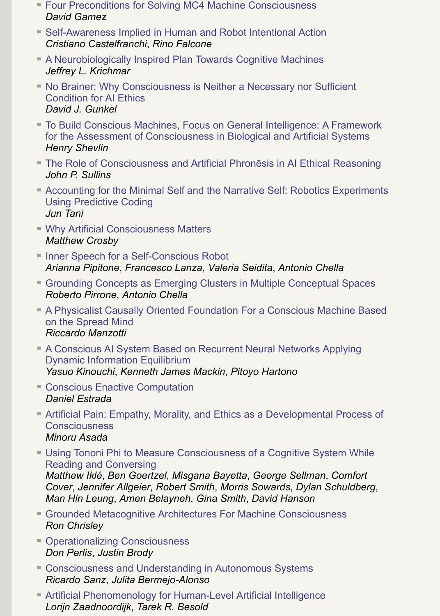- [Four Preconditions for Solving MC4 Machine Consciousness](http://ceur-ws.org/Vol-2287/paper6.pdf) *David Gamez*
- [Self-Awareness Implied in Human and Robot Intentional Action](http://ceur-ws.org/Vol-2287/paper7.pdf) *Cristiano Castelfranchi*, *Rino Falcone*
- [A Neurobiologically Inspired Plan Towards Cognitive Machines](http://ceur-ws.org/Vol-2287/paper8.pdf) *Jeffrey L. Krichmar*
- [No Brainer: Why Consciousness is Neither a Necessary nor Sufficient](http://ceur-ws.org/Vol-2287/paper9.pdf) Condition for AI Ethics *David J. Gunkel*
- [To Build Conscious Machines, Focus on General Intelligence: A Framework](http://ceur-ws.org/Vol-2287/paper10.pdf) for the Assessment of Consciousness in Biological and Artificial Systems *Henry Shevlin*
- **[The Role of Consciousness and Artificial Phron](http://ceur-ws.org/Vol-2287/paper11.pdf)ēsis in AI Ethical Reasoning** *John P. Sullins*
- [Accounting for the Minimal Self and the Narrative Self: Robotics Experiments](http://ceur-ws.org/Vol-2287/paper12.pdf) Using Predictive Coding *Jun Tani*
- [Why Artificial Consciousness Matters](http://ceur-ws.org/Vol-2287/paper13.pdf) *Matthew Crosby*
- [Inner Speech for a Self-Conscious Robot](http://ceur-ws.org/Vol-2287/paper14.pdf) *Arianna Pipitone*, *Francesco Lanza*, *Valeria Seidita*, *Antonio Chella*
- [Grounding Concepts as Emerging Clusters in Multiple Conceptual Spaces](http://ceur-ws.org/Vol-2287/paper15.pdf) *Roberto Pirrone*, *Antonio Chella*
- [A Physicalist Causally Oriented Foundation For a Conscious Machine Based](http://ceur-ws.org/Vol-2287/paper16.pdf) on the Spread Mind *Riccardo Manzotti*
- [A Conscious AI System Based on Recurrent Neural Networks Applying](http://ceur-ws.org/Vol-2287/paper17.pdf) Dynamic Information Equilibrium *Yasuo Kinouchi*, *Kenneth James Mackin*, *Pitoyo Hartono*
- [Conscious Enactive Computation](http://ceur-ws.org/Vol-2287/paper18.pdf) *Daniel Estrada*
- [Artificial Pain: Empathy, Morality, and Ethics as a Developmental Process of](http://ceur-ws.org/Vol-2287/paper19.pdf) **Consciousness** *Minoru Asada*
- [Using Tononi Phi to Measure Consciousness of a Cognitive System While](http://ceur-ws.org/Vol-2287/paper20.pdf) Reading and Conversing *Matthew Iklé*, *Ben Goertzel*, *Misgana Bayetta*, *George Sellman*, *Comfort*

*Cover*, *Jennifer Allgeier*, *Robert Smith*, *Morris Sowards*, *Dylan Schuldberg*, *Man Hin Leung*, *Amen Belayneh*, *Gina Smith*, *David Hanson*

- [Grounded Metacognitive Architectures For Machine Consciousness](http://ceur-ws.org/Vol-2287/paper21.pdf) *Ron Chrisley*
- **[Operationalizing Consciousness](http://ceur-ws.org/Vol-2287/paper22.pdf)** *Don Perlis*, *Justin Brody*
- [Consciousness and Understanding in Autonomous Systems](http://ceur-ws.org/Vol-2287/paper23.pdf) *Ricardo Sanz*, *Julita Bermejo-Alonso*
- [Artificial Phenomenology for Human-Level Artificial Intelligence](http://ceur-ws.org/Vol-2287/paper24.pdf) *Lorijn Zaadnoordijk*, *Tarek R. Besold*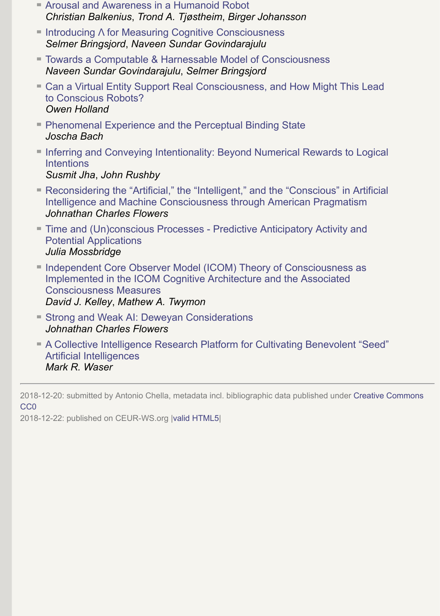- [Arousal and Awareness in a Humanoid Robot](http://ceur-ws.org/Vol-2287/paper25.pdf) *Christian Balkenius*, *Trond A. Tjøstheim*, *Birger Johansson*
- Introducing Λ [for Measuring Cognitive Consciousness](http://ceur-ws.org/Vol-2287/paper26.pdf) *Selmer Bringsjord*, *Naveen Sundar Govindarajulu*
- [Towards a Computable & Harnessable Model of Consciousness](http://ceur-ws.org/Vol-2287/paper27.pdf) *Naveen Sundar Govindarajulu*, *Selmer Bringsjord*
- [Can a Virtual Entity Support Real Consciousness, and How Might This Lead](http://ceur-ws.org/Vol-2287/paper28.pdf) to Conscious Robots? *Owen Holland*
- **[Phenomenal Experience and the Perceptual Binding State](http://ceur-ws.org/Vol-2287/paper29.pdf)** *Joscha Bach*
- **[Inferring and Conveying Intentionality: Beyond Numerical Rewards to Logical](http://ceur-ws.org/Vol-2287/paper30.pdf) Intentions** *Susmit Jha*, *John Rushby*
- [Reconsidering the "Artificial," the "Intelligent," and the "Conscious" in Artificial](http://ceur-ws.org/Vol-2287/paper31.pdf) Intelligence and Machine Consciousness through American Pragmatism *Johnathan Charles Flowers*
- [Time and \(Un\)conscious Processes Predictive Anticipatory Activity and](http://ceur-ws.org/Vol-2287/paper32.pdf) Potential Applications *Julia Mossbridge*
- [Independent Core Observer Model \(ICOM\) Theory of Consciousness as](http://ceur-ws.org/Vol-2287/paper33.pdf) Implemented in the ICOM Cognitive Architecture and the Associated Consciousness Measures *David J. Kelley*, *Mathew A. Twymon*
- **[Strong and Weak AI: Deweyan Considerations](http://ceur-ws.org/Vol-2287/paper34.pdf)** *Johnathan Charles Flowers*
- [A Collective Intelligence Research Platform for Cultivating Benevolent "Seed"](http://ceur-ws.org/Vol-2287/paper35.pdf) Artificial Intelligences *Mark R. Waser*

[2018-12-20: submitted by Antonio Chella, metadata incl. bibliographic data published under Creative Commons](http://creativecommons.org/publicdomain/zero/1.0/) CC0

2018-12-22: published on CEUR-WS.org |[valid HTML5|](https://validator.w3.org/nu/?doc=http%3A%2F%2Fceur-ws.org%2FVol-2287%2F)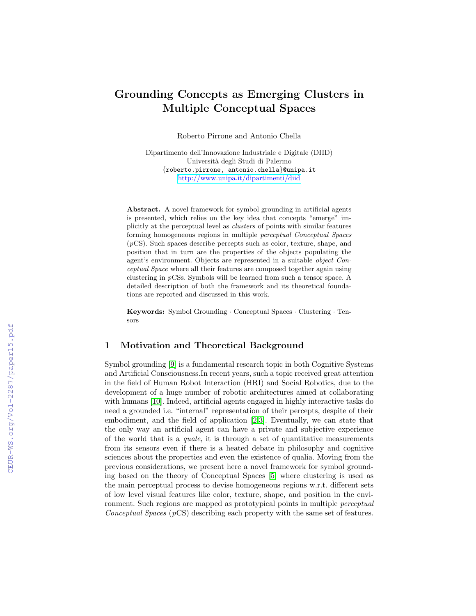#### Grounding Concepts as Emerging Clusters in Multiple Conceptual Spaces

Roberto Pirrone and Antonio Chella

Dipartimento dell'Innovazione Industriale e Digitale (DIID) Universit`a degli Studi di Palermo {roberto.pirrone, antonio.chella}@unipa.it <http://www.unipa.it/dipartimenti/diid>

Abstract. A novel framework for symbol grounding in artificial agents is presented, which relies on the key idea that concepts "emerge" implicitly at the perceptual level as clusters of points with similar features forming homogeneous regions in multiple perceptual Conceptual Spaces  $(pCS)$ . Such spaces describe percepts such as color, texture, shape, and position that in turn are the properties of the objects populating the agent's environment. Objects are represented in a suitable object Conceptual Space where all their features are composed together again using clustering in pCSs. Symbols will be learned from such a tensor space. A detailed description of both the framework and its theoretical foundations are reported and discussed in this work.

Keywords: Symbol Grounding · Conceptual Spaces · Clustering · Tensors

#### 1 Motivation and Theoretical Background

Symbol grounding [\[9\]](#page--1-0) is a fundamental research topic in both Cognitive Systems and Artificial Consciousness.In recent years, such a topic received great attention in the field of Human Robot Interaction (HRI) and Social Robotics, due to the development of a huge number of robotic architectures aimed at collaborating with humans [\[10\]](#page--1-1). Indeed, artificial agents engaged in highly interactive tasks do need a grounded i.e. "internal" representation of their percepts, despite of their embodiment, and the field of application [\[2](#page--1-2)[,3\]](#page--1-3). Eventually, we can state that the only way an artificial agent can have a private and subjective experience of the world that is a quale, it is through a set of quantitative measurements from its sensors even if there is a heated debate in philosophy and cognitive sciences about the properties and even the existence of qualia. Moving from the previous considerations, we present here a novel framework for symbol grounding based on the theory of Conceptual Spaces [\[5\]](#page--1-4) where clustering is used as the main perceptual process to devise homogeneous regions w.r.t. different sets of low level visual features like color, texture, shape, and position in the environment. Such regions are mapped as prototypical points in multiple *perceptual* Conceptual Spaces (pCS) describing each property with the same set of features.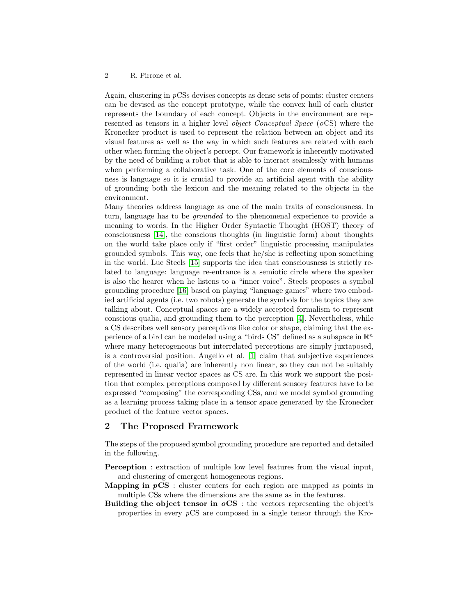#### 2 R. Pirrone et al.

Again, clustering in pCSs devises concepts as dense sets of points: cluster centers can be devised as the concept prototype, while the convex hull of each cluster represents the boundary of each concept. Objects in the environment are represented as tensors in a higher level object Conceptual Space (oCS) where the Kronecker product is used to represent the relation between an object and its visual features as well as the way in which such features are related with each other when forming the object's percept. Our framework is inherently motivated by the need of building a robot that is able to interact seamlessly with humans when performing a collaborative task. One of the core elements of consciousness is language so it is crucial to provide an artificial agent with the ability of grounding both the lexicon and the meaning related to the objects in the environment.

Many theories address language as one of the main traits of consciousness. In turn, language has to be grounded to the phenomenal experience to provide a meaning to words. In the Higher Order Syntactic Thought (HOST) theory of consciousness [\[14\]](#page-9-0), the conscious thoughts (in linguistic form) about thoughts on the world take place only if "first order" linguistic processing manipulates grounded symbols. This way, one feels that he/she is reflecting upon something in the world. Luc Steels [\[15\]](#page-9-1) supports the idea that consciousness is strictly related to language: language re-entrance is a semiotic circle where the speaker is also the hearer when he listens to a "inner voice". Steels proposes a symbol grounding procedure [\[16\]](#page-9-2) based on playing "language games" where two embodied artificial agents (i.e. two robots) generate the symbols for the topics they are talking about. Conceptual spaces are a widely accepted formalism to represent conscious qualia, and grounding them to the perception [\[4\]](#page-9-3). Nevertheless, while a CS describes well sensory perceptions like color or shape, claiming that the experience of a bird can be modeled using a "birds CS" defined as a subspace in  $\mathbb{R}^n$ where many heterogeneous but interrelated perceptions are simply juxtaposed, is a controversial position. Augello et al. [\[1\]](#page-9-4) claim that subjective experiences of the world (i.e. qualia) are inherently non linear, so they can not be suitably represented in linear vector spaces as CS are. In this work we support the position that complex perceptions composed by different sensory features have to be expressed "composing" the corresponding CSs, and we model symbol grounding as a learning process taking place in a tensor space generated by the Kronecker product of the feature vector spaces.

#### 2 The Proposed Framework

The steps of the proposed symbol grounding procedure are reported and detailed in the following.

- Perception : extraction of multiple low level features from the visual input, and clustering of emergent homogeneous regions.
- **Mapping in**  $pCS$  : cluster centers for each region are mapped as points in multiple CSs where the dimensions are the same as in the features.
- Building the object tensor in  $oCS$ : the vectors representing the object's properties in every pCS are composed in a single tensor through the Kro-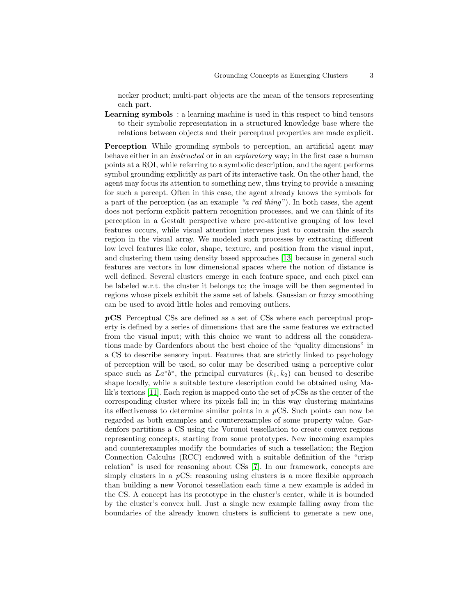necker product; multi-part objects are the mean of the tensors representing each part.

Learning symbols : a learning machine is used in this respect to bind tensors to their symbolic representation in a structured knowledge base where the relations between objects and their perceptual properties are made explicit.

Perception While grounding symbols to perception, an artificial agent may behave either in an *instructed* or in an *exploratory* way; in the first case a human points at a ROI, while referring to a symbolic description, and the agent performs symbol grounding explicitly as part of its interactive task. On the other hand, the agent may focus its attention to something new, thus trying to provide a meaning for such a percept. Often in this case, the agent already knows the symbols for a part of the perception (as an example "a red thing"). In both cases, the agent does not perform explicit pattern recognition processes, and we can think of its perception in a Gestalt perspective where pre-attentive grouping of low level features occurs, while visual attention intervenes just to constrain the search region in the visual array. We modeled such processes by extracting different low level features like color, shape, texture, and position from the visual input, and clustering them using density based approaches [\[13\]](#page-9-5) because in general such features are vectors in low dimensional spaces where the notion of distance is well defined. Several clusters emerge in each feature space, and each pixel can be labeled w.r.t. the cluster it belongs to; the image will be then segmented in regions whose pixels exhibit the same set of labels. Gaussian or fuzzy smoothing can be used to avoid little holes and removing outliers.

pCS Perceptual CSs are defined as a set of CSs where each perceptual property is defined by a series of dimensions that are the same features we extracted from the visual input; with this choice we want to address all the considerations made by Gardenfors about the best choice of the "quality dimensions" in a CS to describe sensory input. Features that are strictly linked to psychology of perception will be used, so color may be described using a perceptive color space such as  $La^*b^*$ , the principal curvatures  $(k_1, k_2)$  can be used to describe shape locally, while a suitable texture description could be obtained using Malik's textons [\[11\]](#page-9-6). Each region is mapped onto the set of pCSs as the center of the corresponding cluster where its pixels fall in; in this way clustering maintains its effectiveness to determine similar points in a  $pCS$ . Such points can now be regarded as both examples and counterexamples of some property value. Gardenfors partitions a CS using the Voronoi tessellation to create convex regions representing concepts, starting from some prototypes. New incoming examples and counterexamples modify the boundaries of such a tessellation; the Region Connection Calculus (RCC) endowed with a suitable definition of the "crisp relation" is used for reasoning about CSs [\[7\]](#page-9-7). In our framework, concepts are simply clusters in a pCS: reasoning using clusters is a more flexible approach than building a new Voronoi tessellation each time a new example is added in the CS. A concept has its prototype in the cluster's center, while it is bounded by the cluster's convex hull. Just a single new example falling away from the boundaries of the already known clusters is sufficient to generate a new one,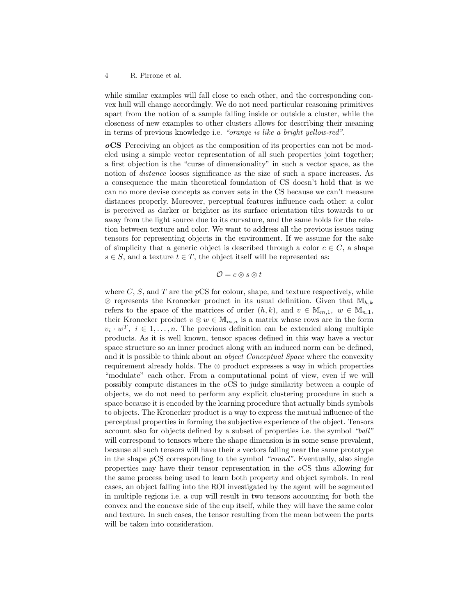#### 4 R. Pirrone et al.

while similar examples will fall close to each other, and the corresponding convex hull will change accordingly. We do not need particular reasoning primitives apart from the notion of a sample falling inside or outside a cluster, while the closeness of new examples to other clusters allows for describing their meaning in terms of previous knowledge i.e. "orange is like a bright yellow-red".

oCS Perceiving an object as the composition of its properties can not be modeled using a simple vector representation of all such properties joint together; a first objection is the "curse of dimensionality" in such a vector space, as the notion of distance looses significance as the size of such a space increases. As a consequence the main theoretical foundation of CS doesn't hold that is we can no more devise concepts as convex sets in the CS because we can't measure distances properly. Moreover, perceptual features influence each other: a color is perceived as darker or brighter as its surface orientation tilts towards to or away from the light source due to its curvature, and the same holds for the relation between texture and color. We want to address all the previous issues using tensors for representing objects in the environment. If we assume for the sake of simplicity that a generic object is described through a color  $c \in C$ , a shape  $s \in S$ , and a texture  $t \in T$ , the object itself will be represented as:

#### $\mathcal{O} = c \otimes s \otimes t$

where  $C, S$ , and  $T$  are the  $pCS$  for colour, shape, and texture respectively, while ⊗ represents the Kronecker product in its usual definition. Given that  $\mathbb{M}_{h,k}$ refers to the space of the matrices of order  $(h, k)$ , and  $v \in M_{m,1}$ ,  $w \in M_{n,1}$ , their Kronecker product  $v \otimes w \in M_{m,n}$  is a matrix whose rows are in the form  $v_i \cdot w^T$ ,  $i \in 1, \ldots, n$ . The previous definition can be extended along multiple products. As it is well known, tensor spaces defined in this way have a vector space structure so an inner product along with an induced norm can be defined, and it is possible to think about an *object Conceptual Space* where the convexity requirement already holds. The ⊗ product expresses a way in which properties "modulate" each other. From a computational point of view, even if we will possibly compute distances in the oCS to judge similarity between a couple of objects, we do not need to perform any explicit clustering procedure in such a space because it is encoded by the learning procedure that actually binds symbols to objects. The Kronecker product is a way to express the mutual influence of the perceptual properties in forming the subjective experience of the object. Tensors account also for objects defined by a subset of properties i.e. the symbol "ball" will correspond to tensors where the shape dimension is in some sense prevalent, because all such tensors will have their s vectors falling near the same prototype in the shape  $pCS$  corresponding to the symbol "round". Eventually, also single properties may have their tensor representation in the  $\alpha$ CS thus allowing for the same process being used to learn both property and object symbols. In real cases, an object falling into the ROI investigated by the agent will be segmented in multiple regions i.e. a cup will result in two tensors accounting for both the convex and the concave side of the cup itself, while they will have the same color and texture. In such cases, the tensor resulting from the mean between the parts will be taken into consideration.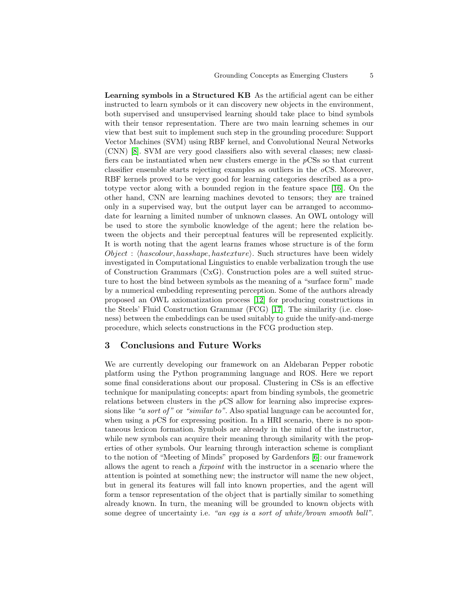Learning symbols in a Structured KB As the artificial agent can be either instructed to learn symbols or it can discovery new objects in the environment, both supervised and unsupervised learning should take place to bind symbols with their tensor representation. There are two main learning schemes in our view that best suit to implement such step in the grounding procedure: Support Vector Machines (SVM) using RBF kernel, and Convolutional Neural Networks (CNN) [\[8\]](#page-9-8). SVM are very good classifiers also with several classes; new classifiers can be instantiated when new clusters emerge in the pCSs so that current classifier ensemble starts rejecting examples as outliers in the  $\alpha$ CS. Moreover, RBF kernels proved to be very good for learning categories described as a prototype vector along with a bounded region in the feature space [\[16\]](#page-9-2). On the other hand, CNN are learning machines devoted to tensors; they are trained only in a supervised way, but the output layer can be arranged to accommodate for learning a limited number of unknown classes. An OWL ontology will be used to store the symbolic knowledge of the agent; here the relation between the objects and their perceptual features will be represented explicitly. It is worth noting that the agent learns frames whose structure is of the form  $Object$ :  $\langle has colour, has shape, has texture \rangle$ . Such structures have been widely investigated in Computational Linguistics to enable verbalization trough the use of Construction Grammars (CxG). Construction poles are a well suited structure to host the bind between symbols as the meaning of a "surface form" made by a numerical embedding representing perception. Some of the authors already proposed an OWL axiomatization process [\[12\]](#page-9-9) for producing constructions in the Steels' Fluid Construction Grammar (FCG) [\[17\]](#page-9-10). The similarity (i.e. closeness) between the embeddings can be used suitably to guide the unify-and-merge procedure, which selects constructions in the FCG production step.

#### 3 Conclusions and Future Works

We are currently developing our framework on an Aldebaran Pepper robotic platform using the Python programming language and ROS. Here we report some final considerations about our proposal. Clustering in CSs is an effective technique for manipulating concepts: apart from binding symbols, the geometric relations between clusters in the  $pCS$  allow for learning also imprecise expressions like "a sort of" or "similar to". Also spatial language can be accounted for, when using a  $pCS$  for expressing position. In a HRI scenario, there is no spontaneous lexicon formation. Symbols are already in the mind of the instructor, while new symbols can acquire their meaning through similarity with the properties of other symbols. Our learning through interaction scheme is compliant to the notion of "Meeting of Minds" proposed by Gardenfors [\[6\]](#page-9-11): our framework allows the agent to reach a fixpoint with the instructor in a scenario where the attention is pointed at something new; the instructor will name the new object, but in general its features will fall into known properties, and the agent will form a tensor representation of the object that is partially similar to something already known. In turn, the meaning will be grounded to known objects with some degree of uncertainty i.e. "an egg is a sort of white/brown smooth ball".